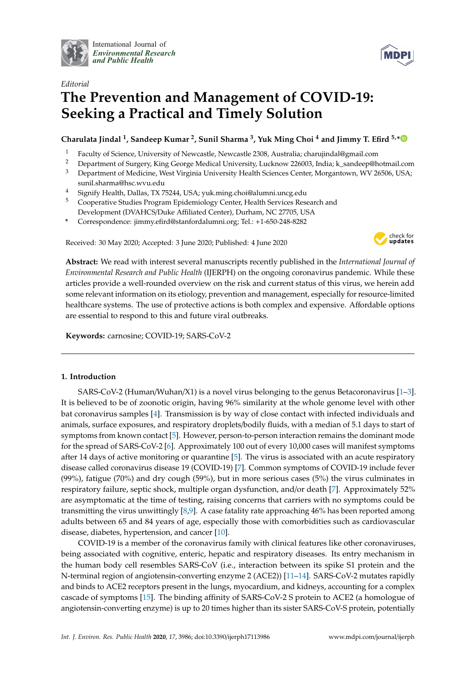

International Journal of *[Environmental Research](http://www.mdpi.com/journal/ijerph) and Public Health*



# *Editorial* **The Prevention and Management of COVID-19: Seeking a Practical and Timely Solution**

**Charulata Jindal <sup>1</sup> , Sandeep Kumar <sup>2</sup> , Sunil Sharma <sup>3</sup> , Yuk Ming Choi <sup>4</sup> and Jimmy T. Efird 5,[\\*](https://orcid.org/0000-0002-4890-5111)**

- <sup>1</sup> Faculty of Science, University of Newcastle, Newcastle 2308, Australia; charujindal@gmail.com
- <sup>2</sup> Department of Surgery, King George Medical University, Lucknow 226003, India; k\_sandeep@hotmail.com
- <sup>3</sup> Department of Medicine, West Virginia University Health Sciences Center, Morgantown, WV 26506, USA; sunil.sharma@hsc.wvu.edu
- <sup>4</sup> Signify Health, Dallas, TX 75244, USA; yuk.ming.choi@alumni.uncg.edu
- <sup>5</sup> Cooperative Studies Program Epidemiology Center, Health Services Research and Development (DVAHCS/Duke Affiliated Center), Durham, NC 27705, USA
- **\*** Correspondence: jimmy.efird@stanfordalumni.org; Tel.: +1-650-248-8282

Received: 30 May 2020; Accepted: 3 June 2020; Published: 4 June 2020



**Abstract:** We read with interest several manuscripts recently published in the *International Journal of Environmental Research and Public Health* (IJERPH) on the ongoing coronavirus pandemic. While these articles provide a well-rounded overview on the risk and current status of this virus, we herein add some relevant information on its etiology, prevention and management, especially for resource-limited healthcare systems. The use of protective actions is both complex and expensive. Affordable options are essential to respond to this and future viral outbreaks.

**Keywords:** carnosine; COVID-19; SARS-CoV-2

# **1. Introduction**

SARS-CoV-2 (Human/Wuhan/X1) is a novel virus belonging to the genus Betacoronavirus [\[1–](#page-6-0)[3\]](#page-6-1). It is believed to be of zoonotic origin, having 96% similarity at the whole genome level with other bat coronavirus samples [\[4\]](#page-6-2). Transmission is by way of close contact with infected individuals and animals, surface exposures, and respiratory droplets/bodily fluids, with a median of 5.1 days to start of symptoms from known contact [\[5\]](#page-6-3). However, person-to-person interaction remains the dominant mode for the spread of SARS-CoV-2 [\[6\]](#page-6-4). Approximately 100 out of every 10,000 cases will manifest symptoms after 14 days of active monitoring or quarantine [\[5\]](#page-6-3). The virus is associated with an acute respiratory disease called coronavirus disease 19 (COVID-19) [\[7\]](#page-6-5). Common symptoms of COVID-19 include fever (99%), fatigue (70%) and dry cough (59%), but in more serious cases (5%) the virus culminates in respiratory failure, septic shock, multiple organ dysfunction, and/or death [\[7\]](#page-6-5). Approximately 52% are asymptomatic at the time of testing, raising concerns that carriers with no symptoms could be transmitting the virus unwittingly [\[8,](#page-6-6)[9\]](#page-6-7). A case fatality rate approaching 46% has been reported among adults between 65 and 84 years of age, especially those with comorbidities such as cardiovascular disease, diabetes, hypertension, and cancer [\[10\]](#page-6-8).

COVID-19 is a member of the coronavirus family with clinical features like other coronaviruses, being associated with cognitive, enteric, hepatic and respiratory diseases. Its entry mechanism in the human body cell resembles SARS-CoV (i.e., interaction between its spike S1 protein and the N-terminal region of angiotensin-converting enzyme 2 (ACE2)) [\[11](#page-6-9)[–14\]](#page-6-10). SARS-CoV-2 mutates rapidly and binds to ACE2 receptors present in the lungs, myocardium, and kidneys, accounting for a complex cascade of symptoms [\[15\]](#page-6-11). The binding affinity of SARS-CoV-2 S protein to ACE2 (a homologue of angiotensin-converting enzyme) is up to 20 times higher than its sister SARS-CoV-S protein, potentially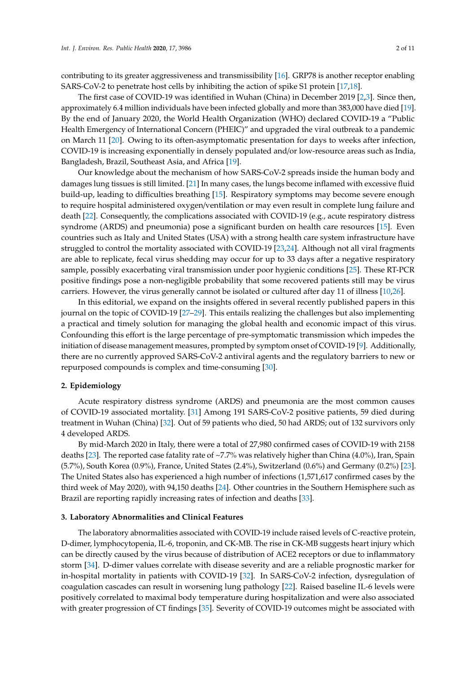contributing to its greater aggressiveness and transmissibility [\[16\]](#page-6-12). GRP78 is another receptor enabling SARS-CoV-2 to penetrate host cells by inhibiting the action of spike S1 protein [\[17](#page-6-13)[,18\]](#page-6-14).

The first case of COVID-19 was identified in Wuhan (China) in December 2019 [\[2,](#page-6-15)[3\]](#page-6-1). Since then, approximately 6.4 million individuals have been infected globally and more than 383,000 have died [\[19\]](#page-6-16). By the end of January 2020, the World Health Organization (WHO) declared COVID-19 a "Public Health Emergency of International Concern (PHEIC)" and upgraded the viral outbreak to a pandemic on March 11 [\[20\]](#page-6-17). Owing to its often-asymptomatic presentation for days to weeks after infection, COVID-19 is increasing exponentially in densely populated and/or low-resource areas such as India, Bangladesh, Brazil, Southeast Asia, and Africa [\[19\]](#page-6-16).

Our knowledge about the mechanism of how SARS-CoV-2 spreads inside the human body and damages lung tissues is still limited. [\[21\]](#page-7-0) In many cases, the lungs become inflamed with excessive fluid build-up, leading to difficulties breathing [\[15\]](#page-6-11). Respiratory symptoms may become severe enough to require hospital administered oxygen/ventilation or may even result in complete lung failure and death [\[22\]](#page-7-1). Consequently, the complications associated with COVID-19 (e.g., acute respiratory distress syndrome (ARDS) and pneumonia) pose a significant burden on health care resources [\[15\]](#page-6-11). Even countries such as Italy and United States (USA) with a strong health care system infrastructure have struggled to control the mortality associated with COVID-19 [\[23](#page-7-2)[,24\]](#page-7-3). Although not all viral fragments are able to replicate, fecal virus shedding may occur for up to 33 days after a negative respiratory sample, possibly exacerbating viral transmission under poor hygienic conditions [\[25\]](#page-7-4). These RT-PCR positive findings pose a non-negligible probability that some recovered patients still may be virus carriers. However, the virus generally cannot be isolated or cultured after day 11 of illness [\[10,](#page-6-8)[26\]](#page-7-5).

In this editorial, we expand on the insights offered in several recently published papers in this journal on the topic of COVID-19 [\[27–](#page-7-6)[29\]](#page-7-7). This entails realizing the challenges but also implementing a practical and timely solution for managing the global health and economic impact of this virus. Confounding this effort is the large percentage of pre-symptomatic transmission which impedes the initiation of disease management measures, prompted by symptom onset of COVID-19 [\[9\]](#page-6-7). Additionally, there are no currently approved SARS-CoV-2 antiviral agents and the regulatory barriers to new or repurposed compounds is complex and time-consuming [\[30\]](#page-7-8).

#### **2. Epidemiology**

Acute respiratory distress syndrome (ARDS) and pneumonia are the most common causes of COVID-19 associated mortality. [\[31\]](#page-7-9) Among 191 SARS-CoV-2 positive patients, 59 died during treatment in Wuhan (China) [\[32\]](#page-7-10). Out of 59 patients who died, 50 had ARDS; out of 132 survivors only 4 developed ARDS.

By mid-March 2020 in Italy, there were a total of 27,980 confirmed cases of COVID-19 with 2158 deaths [\[23\]](#page-7-2). The reported case fatality rate of ~7.7% was relatively higher than China (4.0%), Iran, Spain (5.7%), South Korea (0.9%), France, United States (2.4%), Switzerland (0.6%) and Germany (0.2%) [\[23\]](#page-7-2). The United States also has experienced a high number of infections (1,571,617 confirmed cases by the third week of May 2020), with 94,150 deaths [\[24\]](#page-7-3). Other countries in the Southern Hemisphere such as Brazil are reporting rapidly increasing rates of infection and deaths [\[33\]](#page-7-11).

### **3. Laboratory Abnormalities and Clinical Features**

The laboratory abnormalities associated with COVID-19 include raised levels of C-reactive protein, D-dimer, lymphocytopenia, IL-6, troponin, and CK-MB. The rise in CK-MB suggests heart injury which can be directly caused by the virus because of distribution of ACE2 receptors or due to inflammatory storm [\[34\]](#page-7-12). D-dimer values correlate with disease severity and are a reliable prognostic marker for in-hospital mortality in patients with COVID-19 [\[32\]](#page-7-10). In SARS-CoV-2 infection, dysregulation of coagulation cascades can result in worsening lung pathology [\[22\]](#page-7-1). Raised baseline IL-6 levels were positively correlated to maximal body temperature during hospitalization and were also associated with greater progression of CT findings [\[35\]](#page-7-13). Severity of COVID-19 outcomes might be associated with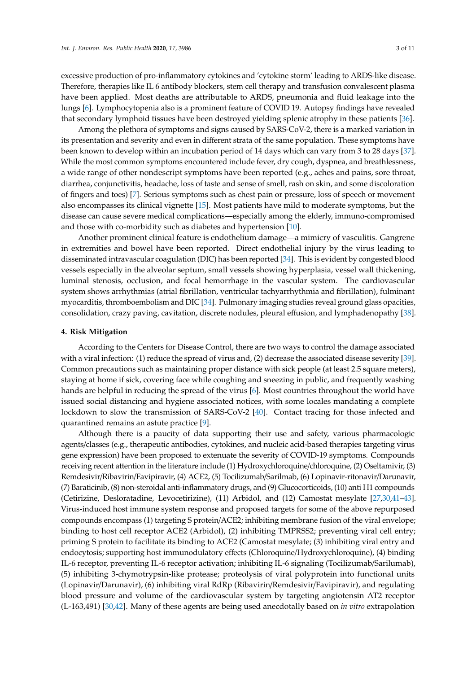excessive production of pro-inflammatory cytokines and 'cytokine storm' leading to ARDS-like disease. Therefore, therapies like IL 6 antibody blockers, stem cell therapy and transfusion convalescent plasma have been applied. Most deaths are attributable to ARDS, pneumonia and fluid leakage into the lungs [\[6\]](#page-6-4). Lymphocytopenia also is a prominent feature of COVID 19. Autopsy findings have revealed that secondary lymphoid tissues have been destroyed yielding splenic atrophy in these patients [\[36\]](#page-7-14).

Among the plethora of symptoms and signs caused by SARS-CoV-2, there is a marked variation in its presentation and severity and even in different strata of the same population. These symptoms have been known to develop within an incubation period of 14 days which can vary from 3 to 28 days [\[37\]](#page-7-15). While the most common symptoms encountered include fever, dry cough, dyspnea, and breathlessness, a wide range of other nondescript symptoms have been reported (e.g., aches and pains, sore throat, diarrhea, conjunctivitis, headache, loss of taste and sense of smell, rash on skin, and some discoloration of fingers and toes) [\[7\]](#page-6-5). Serious symptoms such as chest pain or pressure, loss of speech or movement also encompasses its clinical vignette [\[15\]](#page-6-11). Most patients have mild to moderate symptoms, but the disease can cause severe medical complications—especially among the elderly, immuno-compromised and those with co-morbidity such as diabetes and hypertension [\[10\]](#page-6-8).

Another prominent clinical feature is endothelium damage—a mimicry of vasculitis. Gangrene in extremities and bowel have been reported. Direct endothelial injury by the virus leading to disseminated intravascular coagulation (DIC) has been reported [\[34\]](#page-7-12). This is evident by congested blood vessels especially in the alveolar septum, small vessels showing hyperplasia, vessel wall thickening, luminal stenosis, occlusion, and focal hemorrhage in the vascular system. The cardiovascular system shows arrhythmias (atrial fibrillation, ventricular tachyarrhythmia and fibrillation), fulminant myocarditis, thromboembolism and DIC [\[34\]](#page-7-12). Pulmonary imaging studies reveal ground glass opacities, consolidation, crazy paving, cavitation, discrete nodules, pleural effusion, and lymphadenopathy [\[38\]](#page-7-16).

## **4. Risk Mitigation**

According to the Centers for Disease Control, there are two ways to control the damage associated with a viral infection: (1) reduce the spread of virus and, (2) decrease the associated disease severity [\[39\]](#page-7-17). Common precautions such as maintaining proper distance with sick people (at least 2.5 square meters), staying at home if sick, covering face while coughing and sneezing in public, and frequently washing hands are helpful in reducing the spread of the virus [\[6\]](#page-6-4). Most countries throughout the world have issued social distancing and hygiene associated notices, with some locales mandating a complete lockdown to slow the transmission of SARS-CoV-2 [\[40\]](#page-7-18). Contact tracing for those infected and quarantined remains an astute practice [\[9\]](#page-6-7).

Although there is a paucity of data supporting their use and safety, various pharmacologic agents/classes (e.g., therapeutic antibodies, cytokines, and nucleic acid-based therapies targeting virus gene expression) have been proposed to extenuate the severity of COVID-19 symptoms. Compounds receiving recent attention in the literature include (1) Hydroxychloroquine/chloroquine, (2) Oseltamivir, (3) Remdesivir/Ribavirin/Favipiravir, (4) ACE2, (5) Tocilizumab/Sarilmab, (6) Lopinavir-ritonavir/Darunavir, (7) Baraticinib, (8) non-steroidal anti-inflammatory drugs, and (9) Glucocorticoids, (10) anti H1 compounds (Cetirizine, Desloratadine, Levocetirizine), (11) Arbidol, and (12) Camostat mesylate [\[27](#page-7-6)[,30,](#page-7-8)[41](#page-8-0)[–43\]](#page-8-1). Virus-induced host immune system response and proposed targets for some of the above repurposed compounds encompass (1) targeting S protein/ACE2; inhibiting membrane fusion of the viral envelope; binding to host cell receptor ACE2 (Arbidol), (2) inhibiting TMPRSS2; preventing viral cell entry; priming S protein to facilitate its binding to ACE2 (Camostat mesylate; (3) inhibiting viral entry and endocytosis; supporting host immunodulatory effects (Chloroquine/Hydroxychloroquine), (4) binding IL-6 receptor, preventing IL-6 receptor activation; inhibiting IL-6 signaling (Tocilizumab/Sarilumab), (5) inhibiting 3-chymotrypsin-like protease; proteolysis of viral polyprotein into functional units (Lopinavir/Darunavir), (6) inhibiting viral RdRp (Ribavirin/Remdesivir/Favipiravir), and regulating blood pressure and volume of the cardiovascular system by targeting angiotensin AT2 receptor (L-163,491) [\[30](#page-7-8)[,42\]](#page-8-2). Many of these agents are being used anecdotally based on *in vitro* extrapolation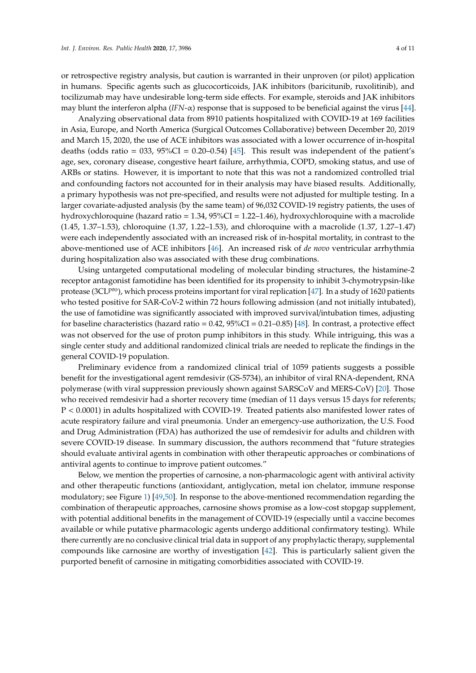or retrospective registry analysis, but caution is warranted in their unproven (or pilot) application in humans. Specific agents such as glucocorticoids, JAK inhibitors (baricitunib, ruxolitinib), and tocilizumab may have undesirable long-term side effects. For example, steroids and JAK inhibitors may blunt the interferon alpha (*IFN*-α) response that is supposed to be beneficial against the virus [\[44\]](#page-8-3).

Analyzing observational data from 8910 patients hospitalized with COVID-19 at 169 facilities in Asia, Europe, and North America (Surgical Outcomes Collaborative) between December 20, 2019 and March 15, 2020, the use of ACE inhibitors was associated with a lower occurrence of in-hospital deaths (odds ratio = 033,  $95\%CI = 0.20-0.54$ ) [\[45\]](#page-8-4). This result was independent of the patient's age, sex, coronary disease, congestive heart failure, arrhythmia, COPD, smoking status, and use of ARBs or statins. However, it is important to note that this was not a randomized controlled trial and confounding factors not accounted for in their analysis may have biased results. Additionally, a primary hypothesis was not pre-specified, and results were not adjusted for multiple testing. In a larger covariate-adjusted analysis (by the same team) of 96,032 COVID-19 registry patients, the uses of hydroxychloroquine (hazard ratio = 1.34, 95%CI = 1.22–1.46), hydroxychloroquine with a macrolide (1.45, 1.37–1.53), chloroquine (1.37, 1.22–1.53), and chloroquine with a macrolide (1.37, 1.27–1.47) were each independently associated with an increased risk of in-hospital mortality, in contrast to the above-mentioned use of ACE inhibitors [\[46\]](#page-8-5). An increased risk of *de novo* ventricular arrhythmia during hospitalization also was associated with these drug combinations.

Using untargeted computational modeling of molecular binding structures, the histamine-2 receptor antagonist famotidine has been identified for its propensity to inhibit 3-chymotrypsin-like protease (3CLP<sup>ro</sup>), which process proteins important for viral replication [\[47\]](#page-8-6). In a study of 1620 patients who tested positive for SAR-CoV-2 within 72 hours following admission (and not initially intubated), the use of famotidine was significantly associated with improved survival/intubation times, adjusting for baseline characteristics (hazard ratio =  $0.42$ ,  $95\%CI = 0.21 - 0.85$ ) [\[48\]](#page-8-7). In contrast, a protective effect was not observed for the use of proton pump inhibitors in this study. While intriguing, this was a single center study and additional randomized clinical trials are needed to replicate the findings in the general COVID-19 population.

Preliminary evidence from a randomized clinical trial of 1059 patients suggests a possible benefit for the investigational agent remdesivir (GS-5734), an inhibitor of viral RNA-dependent, RNA polymerase (with viral suppression previously shown against SARSCoV and MERS-CoV) [\[20\]](#page-6-17). Those who received remdesivir had a shorter recovery time (median of 11 days versus 15 days for referents; P < 0.0001) in adults hospitalized with COVID-19. Treated patients also manifested lower rates of acute respiratory failure and viral pneumonia. Under an emergency-use authorization, the U.S. Food and Drug Administration (FDA) has authorized the use of remdesivir for adults and children with severe COVID-19 disease. In summary discussion, the authors recommend that "future strategies should evaluate antiviral agents in combination with other therapeutic approaches or combinations of antiviral agents to continue to improve patient outcomes."

Below, we mention the properties of carnosine, a non-pharmacologic agent with antiviral activity and other therapeutic functions (antioxidant, antiglycation, metal ion chelator, immune response modulatory; see Figure [1\)](#page-4-0) [\[49,](#page-8-8)[50\]](#page-8-9). In response to the above-mentioned recommendation regarding the combination of therapeutic approaches, carnosine shows promise as a low-cost stopgap supplement, with potential additional benefits in the management of COVID-19 (especially until a vaccine becomes available or while putative pharmacologic agents undergo additional confirmatory testing). While there currently are no conclusive clinical trial data in support of any prophylactic therapy, supplemental compounds like carnosine are worthy of investigation [\[42\]](#page-8-2). This is particularly salient given the purported benefit of carnosine in mitigating comorbidities associated with COVID-19.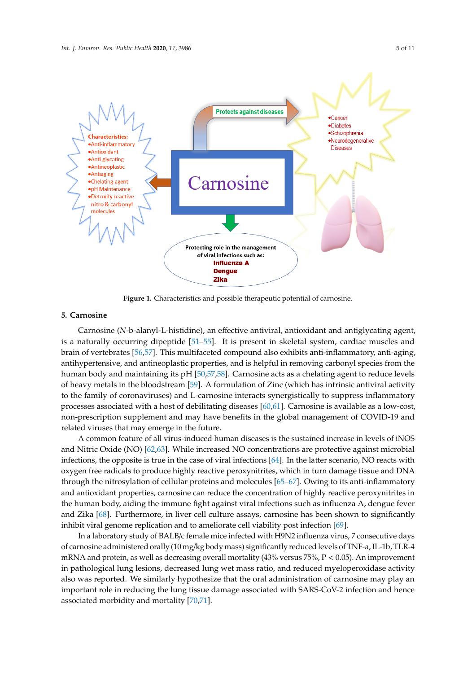<span id="page-4-0"></span>

**Figure 1.** Characteristics and possible therapeutic potential of carnosine. **Figure 1.** Characteristics and possible therapeutic potential of carnosine.

## **5. Carnosine**

**5. Carnosine** Carnosine (*N*-b-alanyl-L-histidine), an effective antiviral, antioxidant and antiglycating agent, is a naturally occurring dipeptide [\[51](#page-8-10)[–55\]](#page-8-11). It is present in skeletal system, cardiac muscles and brain of vertebrates [56,57]. This multifaceted compound also exhibits anti-inflammatory, anti-aging, antihypertensive, and antineoplastic properties, and is helpful in removing carbonyl species from the human body and maintaining its pH [\[50](#page-8-9)[,57,](#page-8-13)[58\]](#page-8-14). Carnosine acts as a chelating agent to reduce levels of heavy metals in the bloodstream [\[59\]](#page-8-15). A formulation of Zinc (which has intrinsic antiviral activity to the family of coronaviruses) and L-carnosine interacts synergistically to suppress inflammatory processes associated with a host of debilitating diseases [\[60,](#page-9-0)[61\]](#page-9-1). Carnosine is available as a low-cost, non-prescription supplement and may have benefits in the global management of COVID-19 and related viruses that may emerge in the future.

A common feature of all virus-induced human diseases is the sustained increase in levels of iNOS and Nitric Oxide (NO) [\[62](#page-9-2)[,63\]](#page-9-3). While increased NO concentrations are protective against microbial infections, the opposite is true in the case of viral infections [\[64\]](#page-9-4). In the latter scenario, NO reacts with oxygen free radicals to produce highly reactive peroxynitrites, which in turn damage tissue and DNA through the nitrosylation of cellular proteins and molecules [\[65](#page-9-5)[–67\]](#page-9-6). Owing to its anti-inflammatory and antioxidant properties, carnosine can reduce the concentration of highly reactive peroxynitrites in the human body, aiding the immune fight against viral infections such as influenza A, dengue fever and Zika [\[68\]](#page-9-7). Furthermore, in liver cell culture assays, carnosine has been shown to significantly influenza a<sub>re the</sub> in literature, in liver cell culture assays, carnosine the cell culture as eigenments, inhibit viral genome replication and to ameliorate cell viability post infection [\[69\]](#page-9-8).

In a laboratory study of BALB/c female mice infected with H9N2 influenza virus, 7 consecutive days  $\ln a$  laboratory study of BALB/c female mice infected with H9N2 influenza virus, 7 consecutive days  $\mathcal{L}$ of carnosine administered orally (10 mg/kg body mass) significantly reduced levels of TNF-a, IL-1b, TLR-4<br>PNM mRNA and protein, as well as decreasing overall mortality (43% versus 75%, P < 0.05). An improvement in pathological lung lesions, decreased lung wet mass ratio, and reduced myeloperoxidase activity<br>. also was reported. We similarly hypothesize that the oral administration of carnosine may play an<br>. myeloperoxidase activity also was reported. We similarly hypothesize that the oral administration of important role in reducing the lung tissue damage associated with SARS-CoV-2 infection and hence associated morbidity and mortality  $[70,71]$  $[70,71]$ .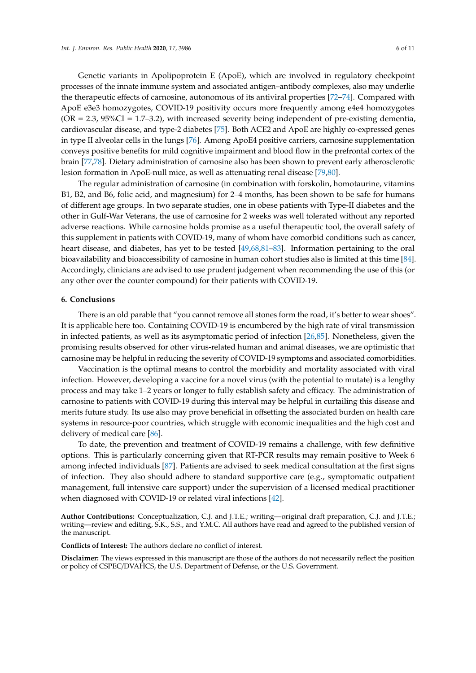the therapeutic effects of carnosine, autonomous of its antiviral properties [\[72](#page-9-11)[–74\]](#page-9-12). Compared with ApoE e3e3 homozygotes, COVID-19 positivity occurs more frequently among e4e4 homozygotes  $(OR = 2.3, 95\% CI = 1.7–3.2)$ , with increased severity being independent of pre-existing dementia, cardiovascular disease, and type-2 diabetes [\[75\]](#page-9-13). Both ACE2 and ApoE are highly co-expressed genes in type II alveolar cells in the lungs [\[76\]](#page-9-14). Among ApoE4 positive carriers, carnosine supplementation conveys positive benefits for mild cognitive impairment and blood flow in the prefrontal cortex of the brain [\[77](#page-9-15)[,78\]](#page-9-16). Dietary administration of carnosine also has been shown to prevent early atherosclerotic lesion formation in ApoE-null mice, as well as attenuating renal disease [\[79](#page-9-17)[,80\]](#page-10-0).

The regular administration of carnosine (in combination with forskolin, homotaurine, vitamins B1, B2, and B6, folic acid, and magnesium) for 2–4 months, has been shown to be safe for humans of different age groups. In two separate studies, one in obese patients with Type-II diabetes and the other in Gulf-War Veterans, the use of carnosine for 2 weeks was well tolerated without any reported adverse reactions. While carnosine holds promise as a useful therapeutic tool, the overall safety of this supplement in patients with COVID-19, many of whom have comorbid conditions such as cancer, heart disease, and diabetes, has yet to be tested [\[49,](#page-8-8)[68,](#page-9-7)[81–](#page-10-1)[83\]](#page-10-2). Information pertaining to the oral bioavailability and bioaccessibility of carnosine in human cohort studies also is limited at this time [\[84\]](#page-10-3). Accordingly, clinicians are advised to use prudent judgement when recommending the use of this (or any other over the counter compound) for their patients with COVID-19.

### **6. Conclusions**

There is an old parable that "you cannot remove all stones form the road, it's better to wear shoes". It is applicable here too. Containing COVID-19 is encumbered by the high rate of viral transmission in infected patients, as well as its asymptomatic period of infection [\[26,](#page-7-5)[85\]](#page-10-4). Nonetheless, given the promising results observed for other virus-related human and animal diseases, we are optimistic that carnosine may be helpful in reducing the severity of COVID-19 symptoms and associated comorbidities.

Vaccination is the optimal means to control the morbidity and mortality associated with viral infection. However, developing a vaccine for a novel virus (with the potential to mutate) is a lengthy process and may take 1–2 years or longer to fully establish safety and efficacy. The administration of carnosine to patients with COVID-19 during this interval may be helpful in curtailing this disease and merits future study. Its use also may prove beneficial in offsetting the associated burden on health care systems in resource-poor countries, which struggle with economic inequalities and the high cost and delivery of medical care [\[86\]](#page-10-5).

To date, the prevention and treatment of COVID-19 remains a challenge, with few definitive options. This is particularly concerning given that RT-PCR results may remain positive to Week 6 among infected individuals [\[87\]](#page-10-6). Patients are advised to seek medical consultation at the first signs of infection. They also should adhere to standard supportive care (e.g., symptomatic outpatient management, full intensive care support) under the supervision of a licensed medical practitioner when diagnosed with COVID-19 or related viral infections [\[42\]](#page-8-2).

**Author Contributions:** Conceptualization, C.J. and J.T.E.; writing—original draft preparation, C.J. and J.T.E.; writing—review and editing, S.K., S.S., and Y.M.C. All authors have read and agreed to the published version of the manuscript.

**Conflicts of Interest:** The authors declare no conflict of interest.

**Disclaimer:** The views expressed in this manuscript are those of the authors do not necessarily reflect the position or policy of CSPEC/DVAHCS, the U.S. Department of Defense, or the U.S. Government.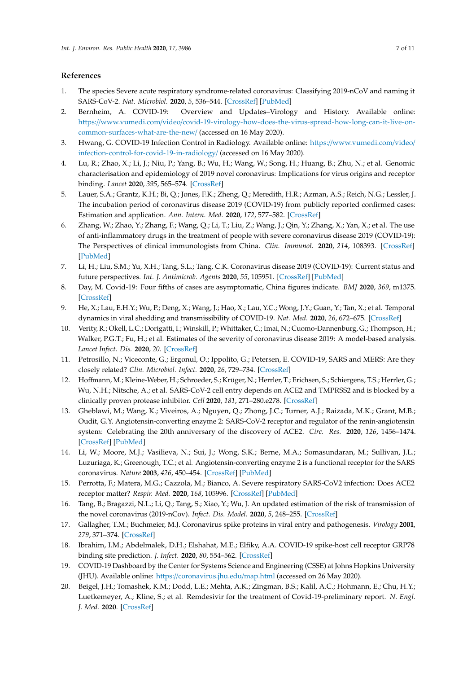## **References**

- <span id="page-6-0"></span>1. The species Severe acute respiratory syndrome-related coronavirus: Classifying 2019-nCoV and naming it SARS-CoV-2. *Nat. Microbiol.* **2020**, *5*, 536–544. [\[CrossRef\]](http://dx.doi.org/10.1038/s41564-020-0695-z) [\[PubMed\]](http://www.ncbi.nlm.nih.gov/pubmed/32123347)
- <span id="page-6-15"></span>2. Bernheim, A. COVID-19: Overview and Updates–Virology and History. Available online: https://www.vumedi.com/video/[covid-19-virology-how-does-the-virus-spread-how-long-can-it-live-on](https://www.vumedi.com/video/covid-19-virology-how-does-the-virus-spread-how-long-can-it-live-on-common-surfaces-what-are-the-new/)[common-surfaces-what-are-the-new](https://www.vumedi.com/video/covid-19-virology-how-does-the-virus-spread-how-long-can-it-live-on-common-surfaces-what-are-the-new/)/ (accessed on 16 May 2020).
- <span id="page-6-1"></span>3. Hwang, G. COVID-19 Infection Control in Radiology. Available online: https://[www.vumedi.com](https://www.vumedi.com/video/infection-control-for-covid-19-in-radiology/)/video/ [infection-control-for-covid-19-in-radiology](https://www.vumedi.com/video/infection-control-for-covid-19-in-radiology/)/ (accessed on 16 May 2020).
- <span id="page-6-2"></span>4. Lu, R.; Zhao, X.; Li, J.; Niu, P.; Yang, B.; Wu, H.; Wang, W.; Song, H.; Huang, B.; Zhu, N.; et al. Genomic characterisation and epidemiology of 2019 novel coronavirus: Implications for virus origins and receptor binding. *Lancet* **2020**, *395*, 565–574. [\[CrossRef\]](http://dx.doi.org/10.1016/S0140-6736(20)30251-8)
- <span id="page-6-3"></span>5. Lauer, S.A.; Grantz, K.H.; Bi, Q.; Jones, F.K.; Zheng, Q.; Meredith, H.R.; Azman, A.S.; Reich, N.G.; Lessler, J. The incubation period of coronavirus disease 2019 (COVID-19) from publicly reported confirmed cases: Estimation and application. *Ann. Intern. Med.* **2020**, *172*, 577–582. [\[CrossRef\]](http://dx.doi.org/10.7326/M20-0504)
- <span id="page-6-4"></span>6. Zhang, W.; Zhao, Y.; Zhang, F.; Wang, Q.; Li, T.; Liu, Z.; Wang, J.; Qin, Y.; Zhang, X.; Yan, X.; et al. The use of anti-inflammatory drugs in the treatment of people with severe coronavirus disease 2019 (COVID-19): The Perspectives of clinical immunologists from China. *Clin. Immunol.* **2020**, *214*, 108393. [\[CrossRef\]](http://dx.doi.org/10.1016/j.clim.2020.108393) [\[PubMed\]](http://www.ncbi.nlm.nih.gov/pubmed/32222466)
- <span id="page-6-5"></span>7. Li, H.; Liu, S.M.; Yu, X.H.; Tang, S.L.; Tang, C.K. Coronavirus disease 2019 (COVID-19): Current status and future perspectives. *Int. J. Antimicrob. Agents* **2020**, *55*, 105951. [\[CrossRef\]](http://dx.doi.org/10.1016/j.ijantimicag.2020.105951) [\[PubMed\]](http://www.ncbi.nlm.nih.gov/pubmed/32234466)
- <span id="page-6-6"></span>8. Day, M. Covid-19: Four fifths of cases are asymptomatic, China figures indicate. *BMJ* **2020**, *369*, m1375. [\[CrossRef\]](http://dx.doi.org/10.1136/bmj.m1375)
- <span id="page-6-7"></span>9. He, X.; Lau, E.H.Y.; Wu, P.; Deng, X.; Wang, J.; Hao, X.; Lau, Y.C.; Wong, J.Y.; Guan, Y.; Tan, X.; et al. Temporal dynamics in viral shedding and transmissibility of COVID-19. *Nat. Med.* **2020**, *26*, 672–675. [\[CrossRef\]](http://dx.doi.org/10.1038/s41591-020-0869-5)
- <span id="page-6-8"></span>10. Verity, R.; Okell, L.C.; Dorigatti, I.; Winskill, P.; Whittaker, C.; Imai, N.; Cuomo-Dannenburg, G.; Thompson, H.; Walker, P.G.T.; Fu, H.; et al. Estimates of the severity of coronavirus disease 2019: A model-based analysis. *Lancet Infect. Dis.* **2020**, *20*. [\[CrossRef\]](http://dx.doi.org/10.1016/S1473-3099(20)30243-7)
- <span id="page-6-9"></span>11. Petrosillo, N.; Viceconte, G.; Ergonul, O.; Ippolito, G.; Petersen, E. COVID-19, SARS and MERS: Are they closely related? *Clin. Microbiol. Infect.* **2020**, *26*, 729–734. [\[CrossRef\]](http://dx.doi.org/10.1016/j.cmi.2020.03.026)
- 12. Hoffmann, M.; Kleine-Weber, H.; Schroeder, S.; Krüger, N.; Herrler, T.; Erichsen, S.; Schiergens, T.S.; Herrler, G.; Wu, N.H.; Nitsche, A.; et al. SARS-CoV-2 cell entry depends on ACE2 and TMPRSS2 and is blocked by a clinically proven protease inhibitor. *Cell* **2020**, *181*, 271–280.e278. [\[CrossRef\]](http://dx.doi.org/10.1016/j.cell.2020.02.052)
- 13. Gheblawi, M.; Wang, K.; Viveiros, A.; Nguyen, Q.; Zhong, J.C.; Turner, A.J.; Raizada, M.K.; Grant, M.B.; Oudit, G.Y. Angiotensin-converting enzyme 2: SARS-CoV-2 receptor and regulator of the renin-angiotensin system: Celebrating the 20th anniversary of the discovery of ACE2. *Circ. Res.* **2020**, *126*, 1456–1474. [\[CrossRef\]](http://dx.doi.org/10.1161/CIRCRESAHA.120.317015) [\[PubMed\]](http://www.ncbi.nlm.nih.gov/pubmed/32264791)
- <span id="page-6-10"></span>14. Li, W.; Moore, M.J.; Vasilieva, N.; Sui, J.; Wong, S.K.; Berne, M.A.; Somasundaran, M.; Sullivan, J.L.; Luzuriaga, K.; Greenough, T.C.; et al. Angiotensin-converting enzyme 2 is a functional receptor for the SARS coronavirus. *Nature* **2003**, *426*, 450–454. [\[CrossRef\]](http://dx.doi.org/10.1038/nature02145) [\[PubMed\]](http://www.ncbi.nlm.nih.gov/pubmed/14647384)
- <span id="page-6-11"></span>15. Perrotta, F.; Matera, M.G.; Cazzola, M.; Bianco, A. Severe respiratory SARS-CoV2 infection: Does ACE2 receptor matter? *Respir. Med.* **2020**, *168*, 105996. [\[CrossRef\]](http://dx.doi.org/10.1016/j.rmed.2020.105996) [\[PubMed\]](http://www.ncbi.nlm.nih.gov/pubmed/32364961)
- <span id="page-6-12"></span>16. Tang, B.; Bragazzi, N.L.; Li, Q.; Tang, S.; Xiao, Y.; Wu, J. An updated estimation of the risk of transmission of the novel coronavirus (2019-nCov). *Infect. Dis. Model.* **2020**, *5*, 248–255. [\[CrossRef\]](http://dx.doi.org/10.1016/j.idm.2020.02.001)
- <span id="page-6-13"></span>17. Gallagher, T.M.; Buchmeier, M.J. Coronavirus spike proteins in viral entry and pathogenesis. *Virology* **2001**, *279*, 371–374. [\[CrossRef\]](http://dx.doi.org/10.1006/viro.2000.0757)
- <span id="page-6-14"></span>18. Ibrahim, I.M.; Abdelmalek, D.H.; Elshahat, M.E.; Elfiky, A.A. COVID-19 spike-host cell receptor GRP78 binding site prediction. *J. Infect.* **2020**, *80*, 554–562. [\[CrossRef\]](http://dx.doi.org/10.1016/j.jinf.2020.02.026)
- <span id="page-6-16"></span>19. COVID-19 Dashboard by the Center for Systems Science and Engineering (CSSE) at Johns Hopkins University (JHU). Available online: https://[coronavirus.jhu.edu](https://coronavirus.jhu.edu/map.html)/map.html (accessed on 26 May 2020).
- <span id="page-6-17"></span>20. Beigel, J.H.; Tomashek, K.M.; Dodd, L.E.; Mehta, A.K.; Zingman, B.S.; Kalil, A.C.; Hohmann, E.; Chu, H.Y.; Luetkemeyer, A.; Kline, S.; et al. Remdesivir for the treatment of Covid-19-preliminary report. *N. Engl. J. Med.* **2020**. [\[CrossRef\]](http://dx.doi.org/10.1056/NEJMoa2007764)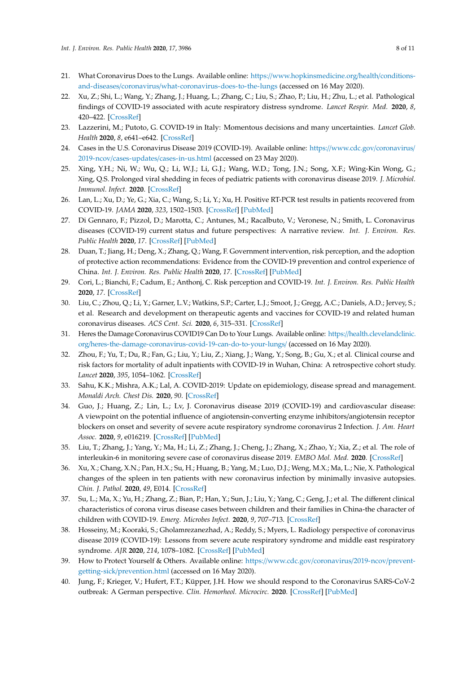- <span id="page-7-0"></span>21. What Coronavirus Does to the Lungs. Available online: https://[www.hopkinsmedicine.org](https://www.hopkinsmedicine.org/health/conditions-and-diseases/coronavirus/what-coronavirus-does-to-the-lungs)/health/conditionsand-diseases/coronavirus/[what-coronavirus-does-to-the-lungs](https://www.hopkinsmedicine.org/health/conditions-and-diseases/coronavirus/what-coronavirus-does-to-the-lungs) (accessed on 16 May 2020).
- <span id="page-7-1"></span>22. Xu, Z.; Shi, L.; Wang, Y.; Zhang, J.; Huang, L.; Zhang, C.; Liu, S.; Zhao, P.; Liu, H.; Zhu, L.; et al. Pathological findings of COVID-19 associated with acute respiratory distress syndrome. *Lancet Respir. Med.* **2020**, *8*, 420–422. [\[CrossRef\]](http://dx.doi.org/10.1016/S2213-2600(20)30076-X)
- <span id="page-7-2"></span>23. Lazzerini, M.; Putoto, G. COVID-19 in Italy: Momentous decisions and many uncertainties. *Lancet Glob. Health* **2020**, *8*, e641–e642. [\[CrossRef\]](http://dx.doi.org/10.1016/S2214-109X(20)30110-8)
- <span id="page-7-3"></span>24. Cases in the U.S. Coronavirus Disease 2019 (COVID-19). Available online: https://[www.cdc.gov](https://www.cdc.gov/coronavirus/2019-ncov/cases-updates/cases-in-us.html)/coronavirus/ 2019-ncov/cases-updates/[cases-in-us.html](https://www.cdc.gov/coronavirus/2019-ncov/cases-updates/cases-in-us.html) (accessed on 23 May 2020).
- <span id="page-7-4"></span>25. Xing, Y.H.; Ni, W.; Wu, Q.; Li, W.J.; Li, G.J.; Wang, W.D.; Tong, J.N.; Song, X.F.; Wing-Kin Wong, G.; Xing, Q.S. Prolonged viral shedding in feces of pediatric patients with coronavirus disease 2019. *J. Microbiol. Immunol. Infect.* **2020**. [\[CrossRef\]](http://dx.doi.org/10.1016/j.jmii.2020.03.021)
- <span id="page-7-5"></span>26. Lan, L.; Xu, D.; Ye, G.; Xia, C.; Wang, S.; Li, Y.; Xu, H. Positive RT-PCR test results in patients recovered from COVID-19. *JAMA* **2020**, *323*, 1502–1503. [\[CrossRef\]](http://dx.doi.org/10.1001/jama.2020.2783) [\[PubMed\]](http://www.ncbi.nlm.nih.gov/pubmed/32105304)
- <span id="page-7-6"></span>27. Di Gennaro, F.; Pizzol, D.; Marotta, C.; Antunes, M.; Racalbuto, V.; Veronese, N.; Smith, L. Coronavirus diseases (COVID-19) current status and future perspectives: A narrative review. *Int. J. Environ. Res. Public Health* **2020**, *17*. [\[CrossRef\]](http://dx.doi.org/10.3390/ijerph17082690) [\[PubMed\]](http://www.ncbi.nlm.nih.gov/pubmed/32295188)
- 28. Duan, T.; Jiang, H.; Deng, X.; Zhang, Q.; Wang, F. Government intervention, risk perception, and the adoption of protective action recommendations: Evidence from the COVID-19 prevention and control experience of China. *Int. J. Environ. Res. Public Health* **2020**, *17*. [\[CrossRef\]](http://dx.doi.org/10.3390/ijerph17103387) [\[PubMed\]](http://www.ncbi.nlm.nih.gov/pubmed/32414013)
- <span id="page-7-7"></span>29. Cori, L.; Bianchi, F.; Cadum, E.; Anthonj, C. Risk perception and COVID-19. *Int. J. Environ. Res. Public Health* **2020**, *17*. [\[CrossRef\]](http://dx.doi.org/10.3390/ijerph17093114)
- <span id="page-7-8"></span>30. Liu, C.; Zhou, Q.; Li, Y.; Garner, L.V.; Watkins, S.P.; Carter, L.J.; Smoot, J.; Gregg, A.C.; Daniels, A.D.; Jervey, S.; et al. Research and development on therapeutic agents and vaccines for COVID-19 and related human coronavirus diseases. *ACS Cent. Sci.* **2020**, *6*, 315–331. [\[CrossRef\]](http://dx.doi.org/10.1021/acscentsci.0c00272)
- <span id="page-7-9"></span>31. Heres the Damage Coronavirus COVID19 Can Do to Your Lungs. Available online: https://[health.clevelandclinic.](https://health.clevelandclinic.org/heres-the-damage-coronavirus-covid-19-can-do-to-your-lungs/) org/[heres-the-damage-coronavirus-covid-19-can-do-to-your-lungs](https://health.clevelandclinic.org/heres-the-damage-coronavirus-covid-19-can-do-to-your-lungs/)/ (accessed on 16 May 2020).
- <span id="page-7-10"></span>32. Zhou, F.; Yu, T.; Du, R.; Fan, G.; Liu, Y.; Liu, Z.; Xiang, J.; Wang, Y.; Song, B.; Gu, X.; et al. Clinical course and risk factors for mortality of adult inpatients with COVID-19 in Wuhan, China: A retrospective cohort study. *Lancet* **2020**, *395*, 1054–1062. [\[CrossRef\]](http://dx.doi.org/10.1016/S0140-6736(20)30566-3)
- <span id="page-7-11"></span>33. Sahu, K.K.; Mishra, A.K.; Lal, A. COVID-2019: Update on epidemiology, disease spread and management. *Monaldi Arch. Chest Dis.* **2020**, *90*. [\[CrossRef\]](http://dx.doi.org/10.4081/monaldi.2020.1292)
- <span id="page-7-12"></span>34. Guo, J.; Huang, Z.; Lin, L.; Lv, J. Coronavirus disease 2019 (COVID-19) and cardiovascular disease: A viewpoint on the potential influence of angiotensin-converting enzyme inhibitors/angiotensin receptor blockers on onset and severity of severe acute respiratory syndrome coronavirus 2 Infection. *J. Am. Heart Assoc.* **2020**, *9*, e016219. [\[CrossRef\]](http://dx.doi.org/10.1161/jaha.120.016219) [\[PubMed\]](http://www.ncbi.nlm.nih.gov/pubmed/32233755)
- <span id="page-7-13"></span>35. Liu, T.; Zhang, J.; Yang, Y.; Ma, H.; Li, Z.; Zhang, J.; Cheng, J.; Zhang, X.; Zhao, Y.; Xia, Z.; et al. The role of interleukin-6 in monitoring severe case of coronavirus disease 2019. *EMBO Mol. Med.* **2020**. [\[CrossRef\]](http://dx.doi.org/10.15252/emmm.202012421)
- <span id="page-7-14"></span>36. Xu, X.; Chang, X.N.; Pan, H.X.; Su, H.; Huang, B.; Yang, M.; Luo, D.J.; Weng, M.X.; Ma, L.; Nie, X. Pathological changes of the spleen in ten patients with new coronavirus infection by minimally invasive autopsies. *Chin. J. Pathol.* **2020**, *49*, E014. [\[CrossRef\]](http://dx.doi.org/10.3760/cma.j.cn112151-20200401-00278)
- <span id="page-7-15"></span>37. Su, L.; Ma, X.; Yu, H.; Zhang, Z.; Bian, P.; Han, Y.; Sun, J.; Liu, Y.; Yang, C.; Geng, J.; et al. The different clinical characteristics of corona virus disease cases between children and their families in China-the character of children with COVID-19. *Emerg. Microbes Infect.* **2020**, *9*, 707–713. [\[CrossRef\]](http://dx.doi.org/10.1080/22221751.2020.1744483)
- <span id="page-7-16"></span>38. Hosseiny, M.; Kooraki, S.; Gholamrezanezhad, A.; Reddy, S.; Myers, L. Radiology perspective of coronavirus disease 2019 (COVID-19): Lessons from severe acute respiratory syndrome and middle east respiratory syndrome. *AJR* **2020**, *214*, 1078–1082. [\[CrossRef\]](http://dx.doi.org/10.2214/AJR.20.22969) [\[PubMed\]](http://www.ncbi.nlm.nih.gov/pubmed/32108495)
- <span id="page-7-17"></span>39. How to Protect Yourself & Others. Available online: https://[www.cdc.gov](https://www.cdc.gov/coronavirus/2019-ncov/prevent-getting-sick/prevention.html)/coronavirus/2019-ncov/preventgetting-sick/[prevention.html](https://www.cdc.gov/coronavirus/2019-ncov/prevent-getting-sick/prevention.html) (accessed on 16 May 2020).
- <span id="page-7-18"></span>40. Jung, F.; Krieger, V.; Hufert, F.T.; Küpper, J.H. How we should respond to the Coronavirus SARS-CoV-2 outbreak: A German perspective. *Clin. Hemorheol. Microcirc.* **2020**. [\[CrossRef\]](http://dx.doi.org/10.3233/CH-209004) [\[PubMed\]](http://www.ncbi.nlm.nih.gov/pubmed/32390611)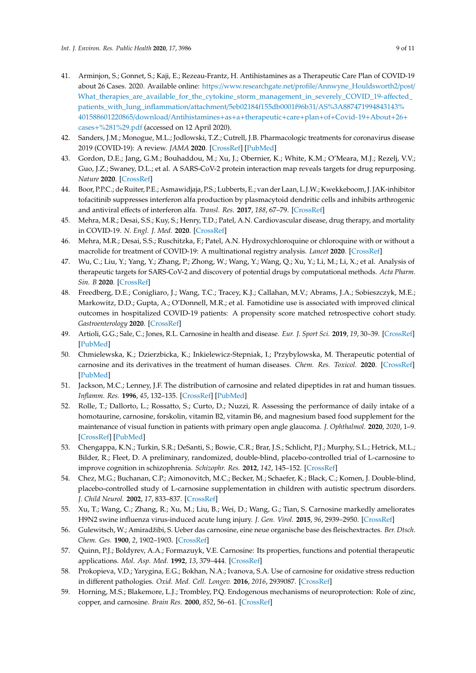- <span id="page-8-0"></span>41. Arminjon, S.; Gonnet, S.; Kaji, E.; Rezeau-Frantz, H. Antihistamines as a Therapeutic Care Plan of COVID-19 about 26 Cases. 2020. Available online: https://www.researchgate.net/profile/[Annwyne\\_Houldsworth2](https://www.researchgate.net/profile/Annwyne_Houldsworth2/post/What_therapies_are_available_for_the_cytokine_storm_management_in_severely_COVID_19-affected_patients_with_lung_inflammation/attachment/5eb02184f155db0001f96b31/AS%3A887471994843143%401588601220865/download/Antihistamines+as+a+therapeutic+care+plan+of+Covid-19+About+26+cases+%281%29.pdf)/post/ [What\\_therapies\\_are\\_available\\_for\\_the\\_cytokine\\_storm\\_management\\_in\\_severely\\_COVID\\_19-a](https://www.researchgate.net/profile/Annwyne_Houldsworth2/post/What_therapies_are_available_for_the_cytokine_storm_management_in_severely_COVID_19-affected_patients_with_lung_inflammation/attachment/5eb02184f155db0001f96b31/AS%3A887471994843143%401588601220865/download/Antihistamines+as+a+therapeutic+care+plan+of+Covid-19+About+26+cases+%281%29.pdf)ffected\_ [patients\\_with\\_lung\\_inflammation](https://www.researchgate.net/profile/Annwyne_Houldsworth2/post/What_therapies_are_available_for_the_cytokine_storm_management_in_severely_COVID_19-affected_patients_with_lung_inflammation/attachment/5eb02184f155db0001f96b31/AS%3A887471994843143%401588601220865/download/Antihistamines+as+a+therapeutic+care+plan+of+Covid-19+About+26+cases+%281%29.pdf)/attachment/5eb02184f155db0001f96b31/AS%3A887471994843143% [401588601220865](https://www.researchgate.net/profile/Annwyne_Houldsworth2/post/What_therapies_are_available_for_the_cytokine_storm_management_in_severely_COVID_19-affected_patients_with_lung_inflammation/attachment/5eb02184f155db0001f96b31/AS%3A887471994843143%401588601220865/download/Antihistamines+as+a+therapeutic+care+plan+of+Covid-19+About+26+cases+%281%29.pdf)/download/Antihistamines+as+a+therapeutic+care+plan+of+Covid-19+About+26+ cases+[%281%29.pdf](https://www.researchgate.net/profile/Annwyne_Houldsworth2/post/What_therapies_are_available_for_the_cytokine_storm_management_in_severely_COVID_19-affected_patients_with_lung_inflammation/attachment/5eb02184f155db0001f96b31/AS%3A887471994843143%401588601220865/download/Antihistamines+as+a+therapeutic+care+plan+of+Covid-19+About+26+cases+%281%29.pdf) (accessed on 12 April 2020).
- <span id="page-8-2"></span>42. Sanders, J.M.; Monogue, M.L.; Jodlowski, T.Z.; Cutrell, J.B. Pharmacologic treatments for coronavirus disease 2019 (COVID-19): A review. *JAMA* **2020**. [\[CrossRef\]](http://dx.doi.org/10.1001/jama.2020.6019) [\[PubMed\]](http://www.ncbi.nlm.nih.gov/pubmed/32282022)
- <span id="page-8-1"></span>43. Gordon, D.E.; Jang, G.M.; Bouhaddou, M.; Xu, J.; Obernier, K.; White, K.M.; O'Meara, M.J.; Rezelj, V.V.; Guo, J.Z.; Swaney, D.L.; et al. A SARS-CoV-2 protein interaction map reveals targets for drug repurposing. *Nature* **2020**. [\[CrossRef\]](http://dx.doi.org/10.1038/s41586-020-2286-9)
- <span id="page-8-3"></span>44. Boor, P.P.C.; de Ruiter, P.E.; Asmawidjaja, P.S.; Lubberts, E.; van der Laan, L.J.W.; Kwekkeboom, J. JAK-inhibitor tofacitinib suppresses interferon alfa production by plasmacytoid dendritic cells and inhibits arthrogenic and antiviral effects of interferon alfa. *Transl. Res.* **2017**, *188*, 67–79. [\[CrossRef\]](http://dx.doi.org/10.1016/j.trsl.2016.11.006)
- <span id="page-8-4"></span>45. Mehra, M.R.; Desai, S.S.; Kuy, S.; Henry, T.D.; Patel, A.N. Cardiovascular disease, drug therapy, and mortality in COVID-19. *N. Engl. J. Med.* **2020**. [\[CrossRef\]](http://dx.doi.org/10.1056/NEJMoa2007621)
- <span id="page-8-5"></span>46. Mehra, M.R.; Desai, S.S.; Ruschitzka, F.; Patel, A.N. Hydroxychloroquine or chloroquine with or without a macrolide for treatment of COVID-19: A multinational registry analysis. *Lancet* **2020**. [\[CrossRef\]](http://dx.doi.org/10.1016/S0140-6736(20)31180-6)
- <span id="page-8-6"></span>47. Wu, C.; Liu, Y.; Yang, Y.; Zhang, P.; Zhong, W.; Wang, Y.; Wang, Q.; Xu, Y.; Li, M.; Li, X.; et al. Analysis of therapeutic targets for SARS-CoV-2 and discovery of potential drugs by computational methods. *Acta Pharm. Sin. B* **2020**. [\[CrossRef\]](http://dx.doi.org/10.1016/j.apsb.2020.02.008)
- <span id="page-8-7"></span>48. Freedberg, D.E.; Conigliaro, J.; Wang, T.C.; Tracey, K.J.; Callahan, M.V.; Abrams, J.A.; Sobieszczyk, M.E.; Markowitz, D.D.; Gupta, A.; O'Donnell, M.R.; et al. Famotidine use is associated with improved clinical outcomes in hospitalized COVID-19 patients: A propensity score matched retrospective cohort study. *Gastroenterology* **2020**. [\[CrossRef\]](http://dx.doi.org/10.1053/j.gastro.2020.05.053)
- <span id="page-8-8"></span>49. Artioli, G.G.; Sale, C.; Jones, R.L. Carnosine in health and disease. *Eur. J. Sport Sci.* **2019**, *19*, 30–39. [\[CrossRef\]](http://dx.doi.org/10.1080/17461391.2018.1444096) [\[PubMed\]](http://www.ncbi.nlm.nih.gov/pubmed/29502490)
- <span id="page-8-9"></span>50. Chmielewska, K.; Dzierzbicka, K.; Inkielewicz-Stepniak, I.; Przybylowska, M. Therapeutic potential of carnosine and its derivatives in the treatment of human diseases. *Chem. Res. Toxicol.* **2020**. [\[CrossRef\]](http://dx.doi.org/10.1021/acs.chemrestox.0c00010) [\[PubMed\]](http://www.ncbi.nlm.nih.gov/pubmed/32202758)
- <span id="page-8-10"></span>51. Jackson, M.C.; Lenney, J.F. The distribution of carnosine and related dipeptides in rat and human tissues. *Inflamm. Res.* **1996**, *45*, 132–135. [\[CrossRef\]](http://dx.doi.org/10.1007/BF02265166) [\[PubMed\]](http://www.ncbi.nlm.nih.gov/pubmed/8689392)
- 52. Rolle, T.; Dallorto, L.; Rossatto, S.; Curto, D.; Nuzzi, R. Assessing the performance of daily intake of a homotaurine, carnosine, forskolin, vitamin B2, vitamin B6, and magnesium based food supplement for the maintenance of visual function in patients with primary open angle glaucoma. *J. Ophthalmol.* **2020**, *2020*, 1–9. [\[CrossRef\]](http://dx.doi.org/10.1155/2020/7879436) [\[PubMed\]](http://www.ncbi.nlm.nih.gov/pubmed/32411435)
- 53. Chengappa, K.N.; Turkin, S.R.; DeSanti, S.; Bowie, C.R.; Brar, J.S.; Schlicht, P.J.; Murphy, S.L.; Hetrick, M.L.; Bilder, R.; Fleet, D. A preliminary, randomized, double-blind, placebo-controlled trial of L-carnosine to improve cognition in schizophrenia. *Schizophr. Res.* **2012**, *142*, 145–152. [\[CrossRef\]](http://dx.doi.org/10.1016/j.schres.2012.10.001)
- 54. Chez, M.G.; Buchanan, C.P.; Aimonovitch, M.C.; Becker, M.; Schaefer, K.; Black, C.; Komen, J. Double-blind, placebo-controlled study of L-carnosine supplementation in children with autistic spectrum disorders. *J. Child Neurol.* **2002**, *17*, 833–837. [\[CrossRef\]](http://dx.doi.org/10.1177/08830738020170111501)
- <span id="page-8-11"></span>55. Xu, T.; Wang, C.; Zhang, R.; Xu, M.; Liu, B.; Wei, D.; Wang, G.; Tian, S. Carnosine markedly ameliorates H9N2 swine influenza virus-induced acute lung injury. *J. Gen. Virol.* **2015**, *96*, 2939–2950. [\[CrossRef\]](http://dx.doi.org/10.1099/jgv.0.000238)
- <span id="page-8-12"></span>56. Gulewitsch, W.; Amiradžibi, S. Ueber das carnosine, eine neue organische base des fleischextractes. *Ber. Dtsch. Chem. Ges.* **1900**, *2*, 1902–1903. [\[CrossRef\]](http://dx.doi.org/10.1002/cber.19000330275)
- <span id="page-8-13"></span>57. Quinn, P.J.; Boldyrev, A.A.; Formazuyk, V.E. Carnosine: Its properties, functions and potential therapeutic applications. *Mol. Asp. Med.* **1992**, *13*, 379–444. [\[CrossRef\]](http://dx.doi.org/10.1016/0098-2997(92)90006-L)
- <span id="page-8-14"></span>58. Prokopieva, V.D.; Yarygina, E.G.; Bokhan, N.A.; Ivanova, S.A. Use of carnosine for oxidative stress reduction in different pathologies. *Oxid. Med. Cell. Longev.* **2016**, *2016*, 2939087. [\[CrossRef\]](http://dx.doi.org/10.1155/2016/2939087)
- <span id="page-8-15"></span>59. Horning, M.S.; Blakemore, L.J.; Trombley, P.Q. Endogenous mechanisms of neuroprotection: Role of zinc, copper, and carnosine. *Brain Res.* **2000**, *852*, 56–61. [\[CrossRef\]](http://dx.doi.org/10.1016/S0006-8993(99)02215-5)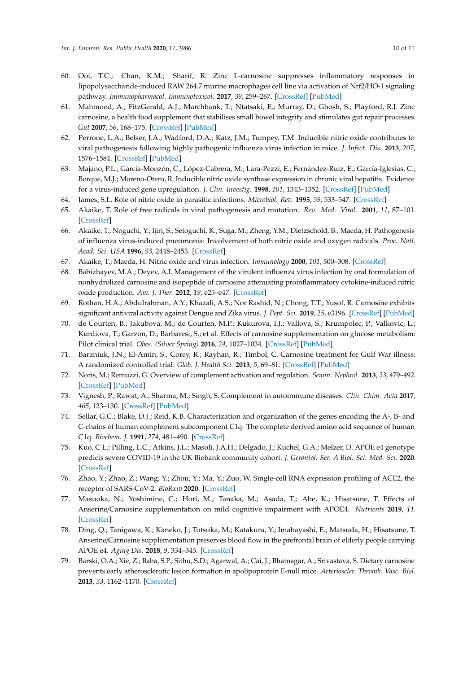- <span id="page-9-0"></span>60. Ooi, T.C.; Chan, K.M.; Sharif, R. Zinc L-carnosine suppresses inflammatory responses in lipopolysaccharide-induced RAW 264.7 murine macrophages cell line via activation of Nrf2/HO-1 signaling pathway. *Immunopharmacol. Immunotoxicol.* **2017**, *39*, 259–267. [\[CrossRef\]](http://dx.doi.org/10.1080/08923973.2017.1344987) [\[PubMed\]](http://www.ncbi.nlm.nih.gov/pubmed/28697633)
- <span id="page-9-1"></span>61. Mahmood, A.; FitzGerald, A.J.; Marchbank, T.; Ntatsaki, E.; Murray, D.; Ghosh, S.; Playford, R.J. Zinc carnosine, a health food supplement that stabilises small bowel integrity and stimulates gut repair processes. *Gut* **2007**, *56*, 168–175. [\[CrossRef\]](http://dx.doi.org/10.1136/gut.2006.099929) [\[PubMed\]](http://www.ncbi.nlm.nih.gov/pubmed/16777920)
- <span id="page-9-2"></span>62. Perrone, L.A.; Belser, J.A.; Wadford, D.A.; Katz, J.M.; Tumpey, T.M. Inducible nitric oxide contributes to viral pathogenesis following highly pathogenic influenza virus infection in mice. *J. Infect. Dis.* **2013**, *207*, 1576–1584. [\[CrossRef\]](http://dx.doi.org/10.1093/infdis/jit062) [\[PubMed\]](http://www.ncbi.nlm.nih.gov/pubmed/23420903)
- <span id="page-9-3"></span>63. Majano, P.L.; García-Monzón, C.; López-Cabrera, M.; Lara-Pezzi, E.; Fernández-Ruiz, E.; García-Iglesias, C.; Borque, M.J.; Moreno-Otero, R. Inducible nitric oxide synthase expression in chronic viral hepatitis. Evidence for a virus-induced gene upregulation. *J. Clin. Investig.* **1998**, *101*, 1343–1352. [\[CrossRef\]](http://dx.doi.org/10.1172/JCI774) [\[PubMed\]](http://www.ncbi.nlm.nih.gov/pubmed/9525976)
- <span id="page-9-4"></span>64. James, S.L. Role of nitric oxide in parasitic infections. *Microbiol. Rev.* **1995**, *59*, 533–547. [\[CrossRef\]](http://dx.doi.org/10.1128/MMBR.59.4.533-547.1995)
- <span id="page-9-5"></span>65. Akaike, T. Role of free radicals in viral pathogenesis and mutation. *Rev. Med. Virol.* **2001**, *11*, 87–101. [\[CrossRef\]](http://dx.doi.org/10.1002/rmv.303)
- 66. Akaike, T.; Noguchi, Y.; Ijiri, S.; Setoguchi, K.; Suga, M.; Zheng, Y.M.; Dietzschold, B.; Maeda, H. Pathogenesis of influenza virus-induced pneumonia: Involvement of both nitric oxide and oxygen radicals. *Proc. Natl. Acad. Sci. USA* **1996**, *93*, 2448–2453. [\[CrossRef\]](http://dx.doi.org/10.1073/pnas.93.6.2448)
- <span id="page-9-7"></span><span id="page-9-6"></span>67. Akaike, T.; Maeda, H. Nitric oxide and virus infection. *Immunology* **2000**, *101*, 300–308. [\[CrossRef\]](http://dx.doi.org/10.1046/j.1365-2567.2000.00142.x)
- 68. Babizhayev, M.A.; Deyev, A.I. Management of the virulent influenza virus infection by oral formulation of nonhydrolized carnosine and isopeptide of carnosine attenuating proinflammatory cytokine-induced nitric oxide production. *Am. J. Ther.* **2012**, *19*, e25–e47. [\[CrossRef\]](http://dx.doi.org/10.1097/MJT.0b013e3181dcf589)
- <span id="page-9-8"></span>69. Rothan, H.A.; Abdulrahman, A.Y.; Khazali, A.S.; Nor Rashid, N.; Chong, T.T.; Yusof, R. Carnosine exhibits significant antiviral activity against Dengue and Zika virus. *J. Pept. Sci.* **2019**, *25*, e3196. [\[CrossRef\]](http://dx.doi.org/10.1002/psc.3196) [\[PubMed\]](http://www.ncbi.nlm.nih.gov/pubmed/31290226)
- <span id="page-9-9"></span>70. de Courten, B.; Jakubova, M.; de Courten, M.P.; Kukurova, I.J.; Vallova, S.; Krumpolec, P.; Valkovic, L.; Kurdiova, T.; Garzon, D.; Barbaresi, S.; et al. Effects of carnosine supplementation on glucose metabolism: Pilot clinical trial. *Obes. (Silver Spring)* **2016**, *24*, 1027–1034. [\[CrossRef\]](http://dx.doi.org/10.1002/oby.21434) [\[PubMed\]](http://www.ncbi.nlm.nih.gov/pubmed/27040154)
- <span id="page-9-10"></span>71. Baraniuk, J.N.; El-Amin, S.; Corey, R.; Rayhan, R.; Timbol, C. Carnosine treatment for Gulf War illness: A randomized controlled trial. *Glob. J. Health Sci.* **2013**, *5*, 69–81. [\[CrossRef\]](http://dx.doi.org/10.5539/gjhs.v5n3p69) [\[PubMed\]](http://www.ncbi.nlm.nih.gov/pubmed/23618477)
- <span id="page-9-11"></span>72. Noris, M.; Remuzzi, G. Overview of complement activation and regulation. *Semin. Nephrol.* **2013**, *33*, 479–492. [\[CrossRef\]](http://dx.doi.org/10.1016/j.semnephrol.2013.08.001) [\[PubMed\]](http://www.ncbi.nlm.nih.gov/pubmed/24161035)
- 73. Vignesh, P.; Rawat, A.; Sharma, M.; Singh, S. Complement in autoimmune diseases. *Clin. Chim. Acta* **2017**, *465*, 123–130. [\[CrossRef\]](http://dx.doi.org/10.1016/j.cca.2016.12.017) [\[PubMed\]](http://www.ncbi.nlm.nih.gov/pubmed/28040558)
- <span id="page-9-12"></span>74. Sellar, G.C.; Blake, D.J.; Reid, K.B. Characterization and organization of the genes encoding the A-, B- and C-chains of human complement subcomponent C1q. The complete derived amino acid sequence of human C1q. *Biochem. J.* **1991**, *274*, 481–490. [\[CrossRef\]](http://dx.doi.org/10.1042/bj2740481)
- <span id="page-9-13"></span>75. Kuo, C.L.; Pilling, L.C.; Atkins, J.L.; Masoli, J.A.H.; Delgado, J.; Kuchel, G.A.; Melzer, D. APOE e4 genotype predicts severe COVID-19 in the UK Biobank community cohort. *J. Gerontol. Ser. A Biol. Sci. Med. Sci.* **2020**. [\[CrossRef\]](http://dx.doi.org/10.1093/gerona/glaa131)
- <span id="page-9-14"></span>76. Zhao, Y.; Zhao, Z.; Wang, Y.; Zhou, Y.; Ma, Y.; Zuo, W. Single-cell RNA expression profiling of ACE2, the receptor of SARS-CoV-2. *BioRxiv* **2020**. [\[CrossRef\]](http://dx.doi.org/10.1101/2020.01.26.919985)
- <span id="page-9-15"></span>77. Masuoka, N.; Yoshimine, C.; Hori, M.; Tanaka, M.; Asada, T.; Abe, K.; Hisatsune, T. Effects of Anserine/Carnosine supplementation on mild cognitive impairment with APOE4. *Nutrients* **2019**, *11*. [\[CrossRef\]](http://dx.doi.org/10.3390/nu11071626)
- <span id="page-9-16"></span>78. Ding, Q.; Tanigawa, K.; Kaneko, J.; Totsuka, M.; Katakura, Y.; Imabayashi, E.; Matsuda, H.; Hisatsune, T. Anserine/Carnosine supplementation preserves blood flow in the prefrontal brain of elderly people carrying APOE e4. *Aging Dis.* **2018**, *9*, 334–345. [\[CrossRef\]](http://dx.doi.org/10.14336/AD.2017.0809)
- <span id="page-9-17"></span>79. Barski, O.A.; Xie, Z.; Baba, S.P.; Sithu, S.D.; Agarwal, A.; Cai, J.; Bhatnagar, A.; Srivastava, S. Dietary carnosine prevents early atherosclerotic lesion formation in apolipoprotein E-null mice. *Arterioscler. Thromb. Vasc. Biol.* **2013**, *33*, 1162–1170. [\[CrossRef\]](http://dx.doi.org/10.1161/ATVBAHA.112.300572)